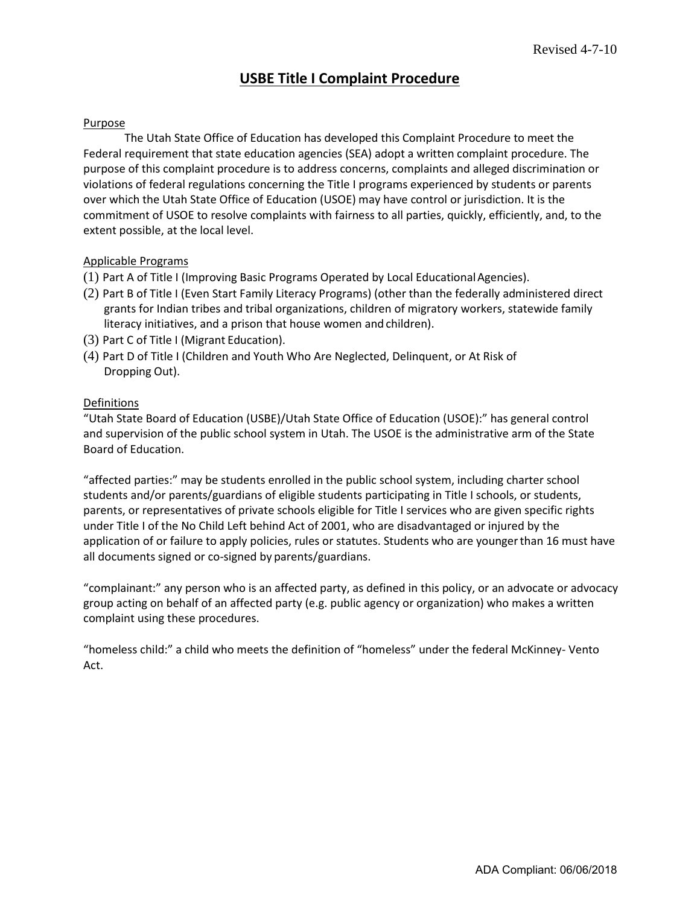# **USBE Title I Complaint Procedure**

### Purpose

The Utah State Board of Education (USBE) has developed this Complaint Procedure to meet the Federal requirement that state education agencies (SEA) adopt a written complaint procedure. The purpose of this complaint procedure is to address concerns, complaints, and alleged discrimination or violations of federal regulations concerning the Title I programs experienced by students or parents over which the Utah State Board of Education may have control or jurisdiction. It is the commitment of USBE to resolve complaints with fairness to all parties, quickly, efficiently, and, to the extent possible, at the local level.

### Applicable Programs

- (1) Part A of Title I (Improving Basic Programs Operated by Local EducationalAgencies)
- (2) Part C of Title I (Migrant Education)
- (3) Part D of Title I (Children and Youth Who Are Neglected, Delinquent, or At Risk of Dropping Out)

### Definitions

"Utah State Board of Education (USBE):" has general control and supervision of the public school system in Utah.

"affected parties:" may be students enrolled in the public school system, including charter school students and/or parents/guardians of eligible students participating in Title I schools, or students, parents, or representatives of private schools eligible for Title I services who are given specific rights under Title I of the Every Student Succeeds Act of 2015, who are disadvantaged or injured by the application of or failure to apply policies, rules, or statutes. Students who are youngerthan 16 must have all documents signed or co-signed by parents/guardians.

"complainant:" any person who is an affected party, as defined in this policy, or an advocate or advocacy group acting on behalf of an affected party (e.g., public agency or organization) who makes a written complaint using these procedures.

"homeless child:" a child who meets the definition of "homeless" under the federal McKinney-Vento Homeless Education Act which is also Title VII, Part B of the Every Student Succeeds Act.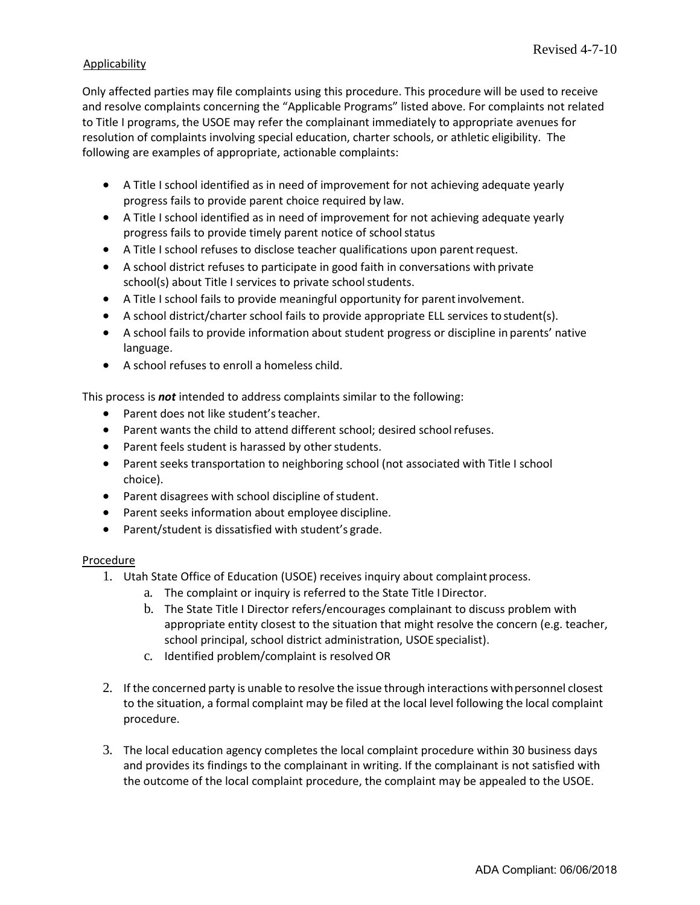## **Applicability**

Only affected parties may file complaints using this procedure. This procedure will be used to receive and resolve complaints concerning the "Applicable Programs" listed above. For complaints not related to Title I programs, the USBE may refer the complainant immediately to appropriate avenues for resolution of complaints involving special education, charter schools, or athletic eligibility. The following are examples of appropriate, actionable complaints:

- A Title I school identified as in need of improvement fails to provide parent choice required by law.
- A Title I school identified as in need of improvement fails to provide timely parent notice of school status.
- A Title I school refuses to disclose teacher qualifications upon parentrequest.
- A school district refuses to participate in good faith in conversations with private school(s) about Title I services to private school students.
- A Title I school fails to provide meaningful opportunity for parent engagement.
- A school district/charter school fails to provide appropriate EL services to student(s).
- A school fails to provide information about student progress or discipline in parents' native language.
- A school refuses to enroll a homeless child.

This process is *not* intended to address complaints similar to the following:

- Parent does not like student's teacher.
- Parent wants the child to attend different school; desired school refuses.
- Parent feels student is harassed by other students.
- Parent seeks transportation to neighboring school (not associated with Title I school choice).
- Parent disagrees with school discipline of student.
- Parent seeks information about employee discipline.
- Parent/student is dissatisfied with student's grade.

#### Procedure

- 1. Utah State Board of Education (USBE) receives inquiry about complaint process.
	- a. The complaint or inquiry is referred to the State Title IDirector.
	- b. The State Title I Director refers/encourages complainant to discuss problem with appropriate entity closest to the situation that might resolve the concern (e.g., teacher, school principal, school district administration, USBE program specialist).
	- c. Identified problem/complaint is resolved, OR
- 2. If the concerned party is unable to resolve the issue through interactions withpersonnel closest to the situation, a formal complaint may be filed at the local level following the local complaint procedure.
- 3. The local education agency completes the local complaint procedure within 30 business days and provides its findings to the complainant in writing. If the complainant is not satisfied with the outcome of the local complaint procedure, the complaint may be appealed to the USBE.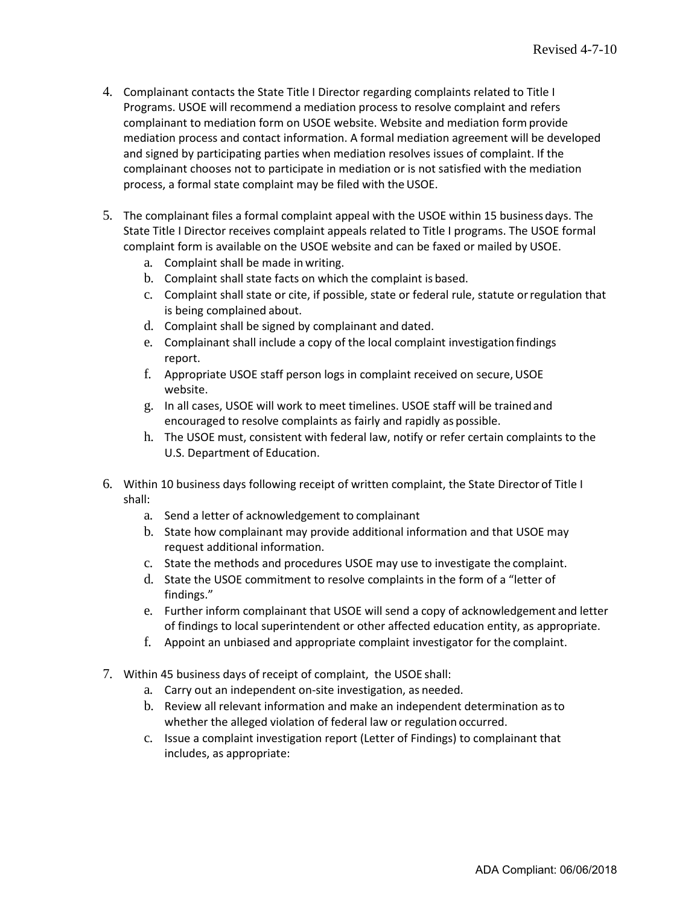- 4. Complainant contacts the State Title I Director regarding complaints related to Title I Programs. USBE will recommend a mediation process to resolve complaint. A formal mediation agreement will be developed and signed by participating parties when mediation resolves issues of complaint. If the complainant chooses not to participate in mediation or is not satisfied with the mediation process, a formal state complaint may be filed with the USBE.
- 5. The complainant files a formal complaint appeal with the USBE within 15 business days. The State Title I Director receives complaint appeals related to Title I programs. The USBE formal complaint form is available on the USBE website and can be faxed or mailed by USBE to the complainant.
	- a. Complaint shall be made in writing.
	- b. Complaint shall state facts on which the complaint is based.
	- c. Complaint shall state or cite, if possible, state or federal rule, statute orregulation that is being complained about.
	- d. Complaint shall be signed by complainant and dated.
	- e. Complainant shall include a copy of the local complaint investigation findings report.
	- f. Appropriate USBE staff person logs in complaint received on secure, USBE website.
	- g. In all cases, USBE will work to meet reasonable timelines. USBE staff will be trainedand encouraged to resolve complaints as fairly and rapidly as possible.
	- h. The USBE must, consistent with federal law, notify or refer certain complaints to the U.S. Department of Education.
- 6. Within 10 business days following receipt of written complaint, the State Director of Title I shall:
	- a. Send a letter of acknowledgement to complainant.
	- b. State how complainant may provide additional information and that USBE may request additional information.
	- c. State the methods and procedures USBE may use to investigate the complaint.
	- d. State the USBE commitment to resolve complaints in the form of a "letter of findings."
	- e. Further inform complainant that USBE will send a copy of acknowledgement and letter of findings to local superintendent or other affected education entity, as appropriate.
	- f. Appoint an unbiased and appropriate complaint investigator for the complaint.
- 7. Within 45 business days of receipt of complaint, the USBE shall:
	- a. Carry out an independent on-site investigation, as needed.
	- b. Review all relevant information and make an independent determination asto whether the alleged violation of federal law or regulation occurred.
	- c. Issue a complaint investigation report (Letter of Findings) to complainant that includes, as appropriate: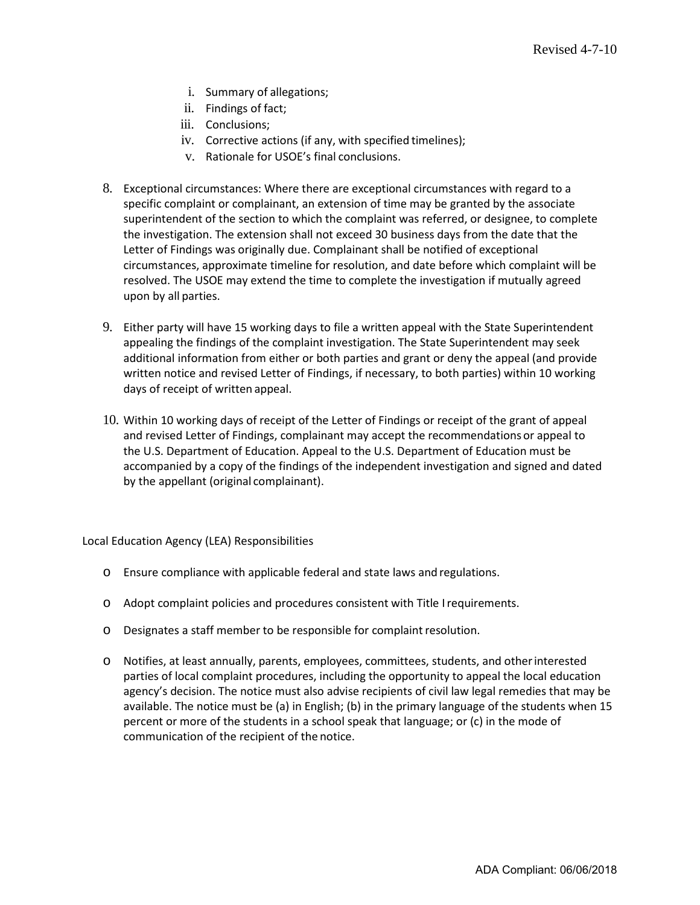- i. Summary of allegations;
- ii. Findings of fact;
- iii. Conclusions;
- iv. Corrective actions (if any, with specified timelines);
- v. Rationale for USBE's final conclusions.
- 8. Exceptional circumstances: Where there are exceptional circumstances with regard to a specific complaint or complainant, an extension of time may be granted by the deputy superintendent of the section to which the complaint was referred, or designee, to complete the investigation. The extension shall not exceed 30 business days from the date that the Letter of Findings was originally due. Complainant shall be notified of exceptional circumstances, approximate timeline for resolution, and date before which complaint will be resolved. The USBE may extend the time to complete the investigation if mutually agreed upon by all parties.
- 9. Either party will have 15 working days to file a written appeal with the State Superintendent appealing the findings of the complaint investigation. The State Superintendent may seek additional information from either or both parties and grant or deny the appeal (and provide written notice and revised Letter of Findings, if necessary, to both parties) within 10 working days of receipt of written appeal.
- 10. Within 10 working days of receipt of the Letter of Findings or receipt of the grant of appeal and revised Letter of Findings, complainant may accept the recommendations or appeal to the U.S. Department of Education. Appeal to the U.S. Department of Education must be accompanied by a copy of the findings of the independent investigation and signed and dated by the appellant (original complainant).

Local Education Agency (LEA) Responsibilities

- o Ensure compliance with applicable federal and state laws and regulations.
- o Adopt complaint policies and procedures consistent with Title Irequirements.
- o Designates a staff member to be responsible for complaintresolution.
- o Notifies, at least annually, parents, employees, committees, students, and otherinterested parties of local complaint procedures, including the opportunity to appeal the local education agency's decision. The notice must also advise recipients of civil law legal remedies that may be available. The notice must be (a) in English; (b) in the primary language of the students when 15 percent or more of the students in a school speak that language; or (c) in the mode of communication of the recipient of the notice.